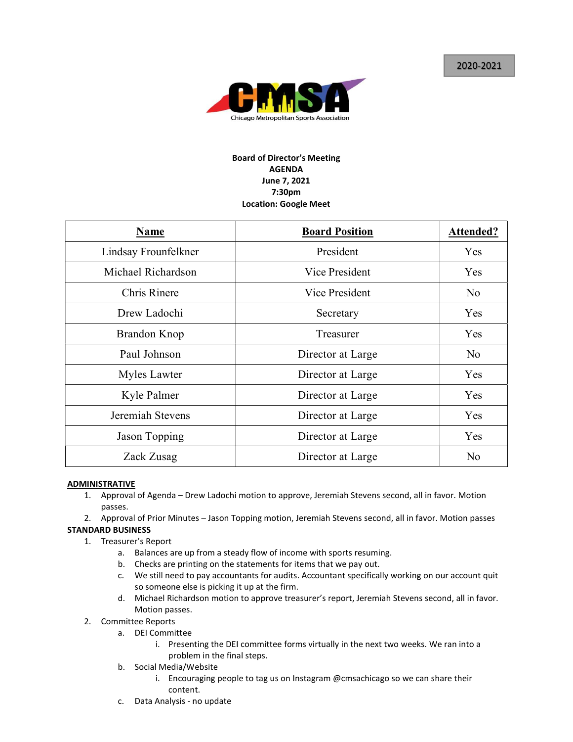

## Board of Director's Meeting AGENDA June 7, 2021 7:30pm Location: Google Meet

| <b>Name</b>          | <b>Board Position</b> | <b>Attended?</b> |
|----------------------|-----------------------|------------------|
| Lindsay Frounfelkner | President             | Yes              |
| Michael Richardson   | Vice President        | Yes              |
| Chris Rinere         | Vice President        | No               |
| Drew Ladochi         | Secretary             | Yes              |
| Brandon Knop         | Treasurer             | Yes              |
| Paul Johnson         | Director at Large     | No               |
| Myles Lawter         | Director at Large     | Yes              |
| Kyle Palmer          | Director at Large     | Yes              |
| Jeremiah Stevens     | Director at Large     | Yes              |
| Jason Topping        | Director at Large     | Yes              |
| Zack Zusag           | Director at Large     | No               |

## **ADMINISTRATIVE**

- 1. Approval of Agenda Drew Ladochi motion to approve, Jeremiah Stevens second, all in favor. Motion passes.
- 2. Approval of Prior Minutes Jason Topping motion, Jeremiah Stevens second, all in favor. Motion passes STANDARD BUSINESS
	- 1. Treasurer's Report
		- a. Balances are up from a steady flow of income with sports resuming.
		- b. Checks are printing on the statements for items that we pay out.
		- c. We still need to pay accountants for audits. Accountant specifically working on our account quit so someone else is picking it up at the firm.
		- d. Michael Richardson motion to approve treasurer's report, Jeremiah Stevens second, all in favor. Motion passes.
	- 2. Committee Reports
		- a. DEI Committee
			- i. Presenting the DEI committee forms virtually in the next two weeks. We ran into a problem in the final steps.
		- b. Social Media/Website
			- i. Encouraging people to tag us on Instagram @cmsachicago so we can share their content.
		- c. Data Analysis no update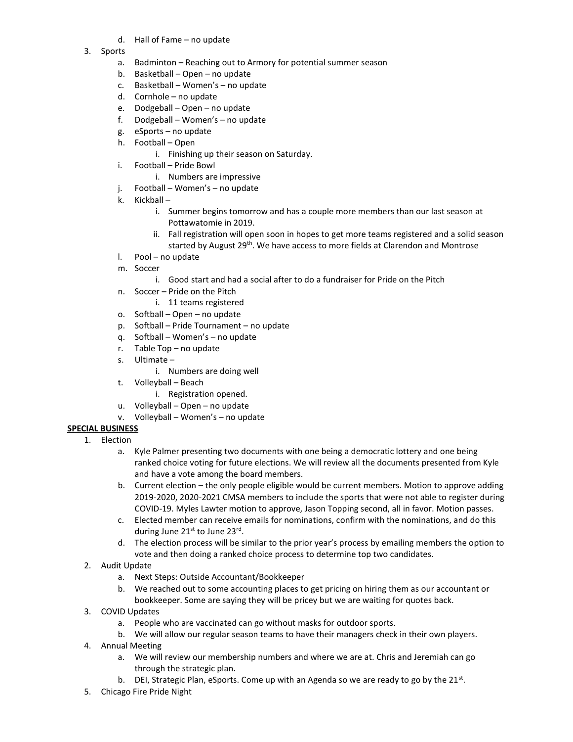- d. Hall of Fame no update
- 3. Sports
	- a. Badminton Reaching out to Armory for potential summer season
	- b. Basketball Open no update
	- c. Basketball Women's no update
	- d. Cornhole no update
	- e. Dodgeball Open no update
	- f. Dodgeball Women's no update
	- g. eSports no update
	- h. Football Open
		- i. Finishing up their season on Saturday.
	- i. Football Pride Bowl
		- i. Numbers are impressive
	- j. Football Women's no update
	- k. Kickball
		- i. Summer begins tomorrow and has a couple more members than our last season at Pottawatomie in 2019.
		- ii. Fall registration will open soon in hopes to get more teams registered and a solid season started by August 29<sup>th</sup>. We have access to more fields at Clarendon and Montrose
	- l. Pool no update
	- m. Soccer
		- i. Good start and had a social after to do a fundraiser for Pride on the Pitch
	- n. Soccer Pride on the Pitch
		- i. 11 teams registered
	- o. Softball Open no update
	- p. Softball Pride Tournament no update
	- q. Softball Women's no update
	- r. Table Top no update
	- s. Ultimate
		- i. Numbers are doing well
	- t. Volleyball Beach
		- i. Registration opened.
	- u. Volleyball Open no update
	- v. Volleyball Women's no update

## SPECIAL BUSINESS

- 1. Election
	- a. Kyle Palmer presenting two documents with one being a democratic lottery and one being ranked choice voting for future elections. We will review all the documents presented from Kyle and have a vote among the board members.
	- b. Current election the only people eligible would be current members. Motion to approve adding 2019-2020, 2020-2021 CMSA members to include the sports that were not able to register during COVID-19. Myles Lawter motion to approve, Jason Topping second, all in favor. Motion passes.
	- c. Elected member can receive emails for nominations, confirm with the nominations, and do this during June 21st to June 23rd.
	- d. The election process will be similar to the prior year's process by emailing members the option to vote and then doing a ranked choice process to determine top two candidates.
- 2. Audit Update
	- a. Next Steps: Outside Accountant/Bookkeeper
	- b. We reached out to some accounting places to get pricing on hiring them as our accountant or bookkeeper. Some are saying they will be pricey but we are waiting for quotes back.
- 3. COVID Updates
	- a. People who are vaccinated can go without masks for outdoor sports.
	- b. We will allow our regular season teams to have their managers check in their own players.
- 4. Annual Meeting
	- a. We will review our membership numbers and where we are at. Chris and Jeremiah can go through the strategic plan.
	- b. DEI, Strategic Plan, eSports. Come up with an Agenda so we are ready to go by the 21st.
- 5. Chicago Fire Pride Night